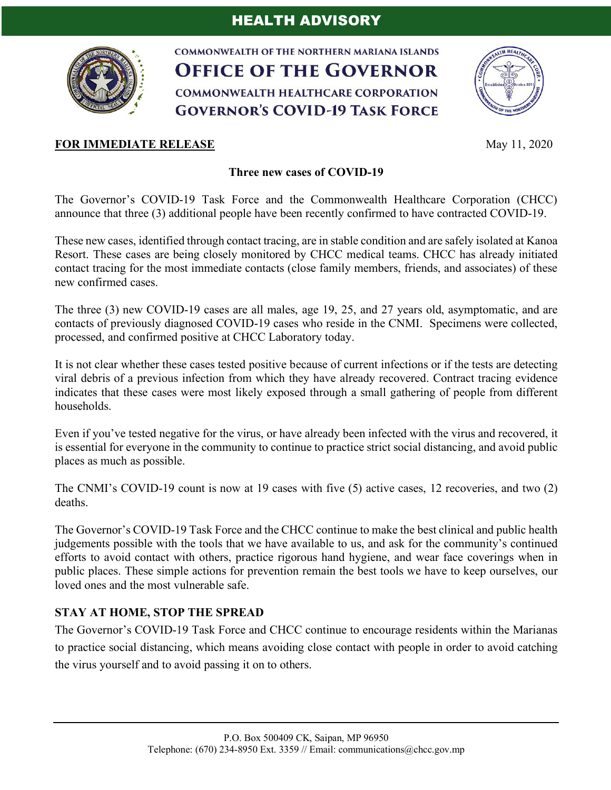

**COMMONWEALTH OF THE NORTHERN MARIANA ISLANDS OFFICE OF THE GOVERNOR COMMONWEALTH HEALTHCARE CORPORATION GOVERNOR'S COVID-19 TASK FORCE** 



## **Three new cases of COVID-19**

The Governor's COVID-19 Task Force and the Commonwealth Healthcare Corporation (CHCC) announce that three (3) additional people have been recently confirmed to have contracted COVID-19.

These new cases, identified through contact tracing, are in stable condition and are safely isolated at Kanoa Resort. These cases are being closely monitored by CHCC medical teams. CHCC has already initiated contact tracing for the most immediate contacts (close family members, friends, and associates) of these new confirmed cases.

The three (3) new COVID-19 cases are all males, age 19, 25, and 27 years old, asymptomatic, and are contacts of previously diagnosed COVID-19 cases who reside in the CNMI. Specimens were collected, processed, and confirmed positive at CHCC Laboratory today.

It is not clear whether these cases tested positive because of current infections or if the tests are detecting viral debris of a previous infection from which they have already recovered. Contract tracing evidence indicates that these cases were most likely exposed through a small gathering of people from different households.

Even if you've tested negative for the virus, or have already been infected with the virus and recovered, it is essential for everyone in the community to continue to practice strict social distancing, and avoid public places as much as possible.

The CNMI's COVID-19 count is now at 19 cases with five (5) active cases, 12 recoveries, and two (2) deaths.

The Governor's COVID-19 Task Force and the CHCC continue to make the best clinical and public health judgements possible with the tools that we have available to us, and ask for the community's continued efforts to avoid contact with others, practice rigorous hand hygiene, and wear face coverings when in public places. These simple actions for prevention remain the best tools we have to keep ourselves, our loved ones and the most vulnerable safe.

## **STAY AT HOME, STOP THE SPREAD**

The Governor's COVID-19 Task Force and CHCC continue to encourage residents within the Marianas to practice social distancing, which means avoiding close contact with people in order to avoid catching the virus yourself and to avoid passing it on to others.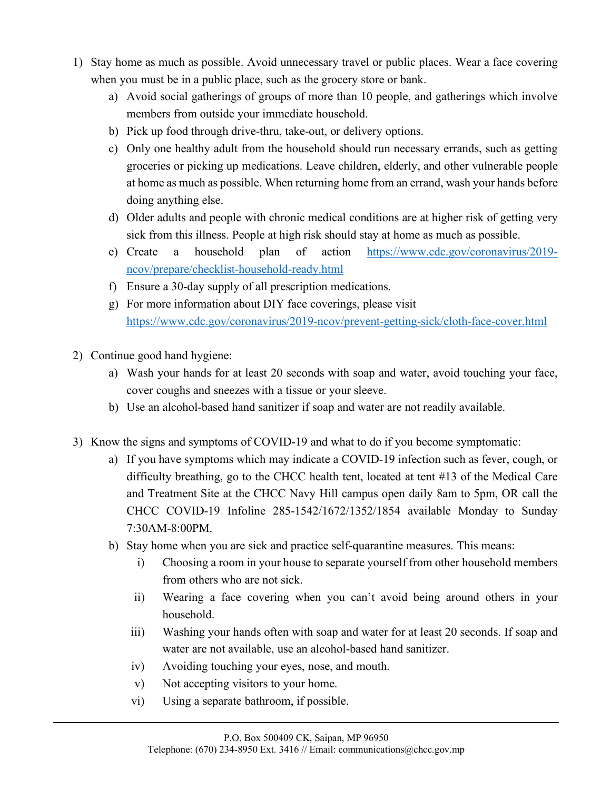- 1) Stay home as much as possible. Avoid unnecessary travel or public places. Wear a face covering when you must be in a public place, such as the grocery store or bank.
	- a) Avoid social gatherings of groups of more than 10 people, and gatherings which involve members from outside your immediate household.
	- b) Pick up food through drive-thru, take-out, or delivery options.
	- c) Only one healthy adult from the household should run necessary errands, such as getting groceries or picking up medications. Leave children, elderly, and other vulnerable people at home as much as possible. When returning home from an errand, wash your hands before doing anything else.
	- d) Older adults and people with chronic medical conditions are at higher risk of getting very sick from this illness. People at high risk should stay at home as much as possible.
	- e) Create a household plan of action https://www.cdc.gov/coronavirus/2019 ncov/prepare/checklist-household-ready.html
	- f) Ensure a 30-day supply of all prescription medications.
	- g) For more information about DIY face coverings, please visit https://www.cdc.gov/coronavirus/2019-ncov/prevent-getting-sick/cloth-face-cover.html
- 2) Continue good hand hygiene:
	- a) Wash your hands for at least 20 seconds with soap and water, avoid touching your face, cover coughs and sneezes with a tissue or your sleeve.
	- b) Use an alcohol-based hand sanitizer if soap and water are not readily available.
- 3) Know the signs and symptoms of COVID-19 and what to do if you become symptomatic:
	- a) If you have symptoms which may indicate a COVID-19 infection such as fever, cough, or difficulty breathing, go to the CHCC health tent, located at tent #13 of the Medical Care and Treatment Site at the CHCC Navy Hill campus open daily 8am to 5pm, OR call the CHCC COVID-19 Infoline 285-1542/1672/1352/1854 available Monday to Sunday 7:30AM-8:00PM.
	- b) Stay home when you are sick and practice self-quarantine measures. This means:
		- i) Choosing a room in your house to separate yourself from other household members from others who are not sick.
		- ii) Wearing a face covering when you can't avoid being around others in your household.
		- iii) Washing your hands often with soap and water for at least 20 seconds. If soap and water are not available, use an alcohol-based hand sanitizer.
		- iv) Avoiding touching your eyes, nose, and mouth.
		- v) Not accepting visitors to your home.
		- vi) Using a separate bathroom, if possible.